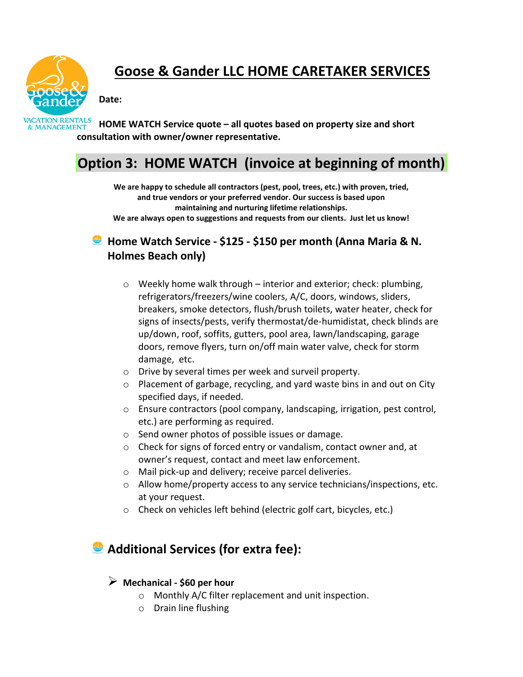

# **Goose & Gander LLC HOME CARETAKER SERVICES**

**Date:**



**HOME WATCH Service quote – all quotes based on property size and short consultation with owner/owner representative.**

## **Option 3: HOME WATCH (invoice at beginning of month)**

**We are happy to schedule all contractors (pest, pool, trees, etc.) with proven, tried, and true vendors or your preferred vendor. Our success is based upon maintaining and nurturing lifetime relationships. We are always open to suggestions and requests from our clients. Just let us know!**

### **Home Watch Service - \$125 - \$150 per month (Anna Maria & N. Holmes Beach only)**

- $\circ$  Weekly home walk through interior and exterior; check: plumbing, refrigerators/freezers/wine coolers, A/C, doors, windows, sliders, breakers, smoke detectors, flush/brush toilets, water heater, check for signs of insects/pests, verify thermostat/de-humidistat, check blinds are up/down, roof, soffits, gutters, pool area, lawn/landscaping, garage doors, remove flyers, turn on/off main water valve, check for storm damage, etc.
- o Drive by several times per week and surveil property.
- o Placement of garbage, recycling, and yard waste bins in and out on City specified days, if needed.
- o Ensure contractors (pool company, landscaping, irrigation, pest control, etc.) are performing as required.
- o Send owner photos of possible issues or damage.
- o Check for signs of forced entry or vandalism, contact owner and, at owner's request, contact and meet law enforcement.
- o Mail pick-up and delivery; receive parcel deliveries.
- o Allow home/property access to any service technicians/inspections, etc. at your request.
- o Check on vehicles left behind (electric golf cart, bicycles, etc.)

## **Additional Services (for extra fee):**

#### ➢ **Mechanical - \$60 per hour**

- o Monthly A/C filter replacement and unit inspection.
- o Drain line flushing